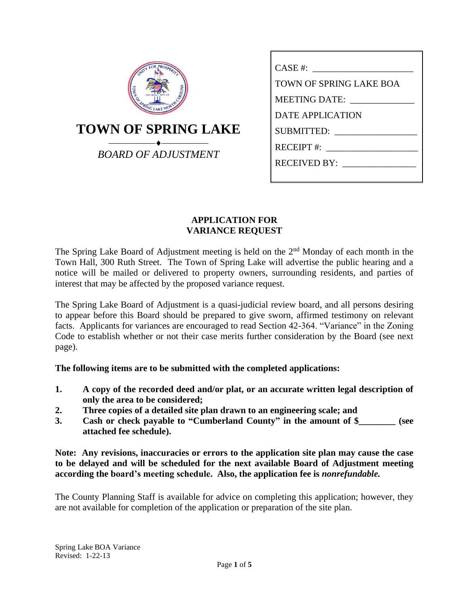| <b>PROSPERT</b>            |  |  |  |  |  |  |
|----------------------------|--|--|--|--|--|--|
| <b>TOWN OF SPRING LAKE</b> |  |  |  |  |  |  |
| <b>BOARD OF ADJUSTMENT</b> |  |  |  |  |  |  |

| <b>TOWN OF SPRING LAKE BOA</b>                                                                                                                                                                                                 |  |  |  |
|--------------------------------------------------------------------------------------------------------------------------------------------------------------------------------------------------------------------------------|--|--|--|
| MEETING DATE: \\cdot \\cdot \\cdot \\cdot \\cdot \\cdot \\cdot \\cdot \\cdot \\cdot \\cdot \\cdot \\cdot \\cdot \\cdot \\cdot \\cdot \\cdot \\cdot \\cdot \\cdot \\cdot \\cdot \\cdot \\cdot \\cdot \\cdot \\cdot \\cdot \\cdo |  |  |  |
| DATE APPLICATION                                                                                                                                                                                                               |  |  |  |
| SUBMITTED:                                                                                                                                                                                                                     |  |  |  |
| $RECEIPT$ #:                                                                                                                                                                                                                   |  |  |  |
| RECEIVED BY:                                                                                                                                                                                                                   |  |  |  |
|                                                                                                                                                                                                                                |  |  |  |

## **APPLICATION FOR VARIANCE REQUEST**

The Spring Lake Board of Adjustment meeting is held on the  $2<sup>nd</sup>$  Monday of each month in the Town Hall, 300 Ruth Street. The Town of Spring Lake will advertise the public hearing and a notice will be mailed or delivered to property owners, surrounding residents, and parties of interest that may be affected by the proposed variance request.

The Spring Lake Board of Adjustment is a quasi-judicial review board, and all persons desiring to appear before this Board should be prepared to give sworn, affirmed testimony on relevant facts. Applicants for variances are encouraged to read Section 42-364. "Variance" in the Zoning Code to establish whether or not their case merits further consideration by the Board (see next page).

**The following items are to be submitted with the completed applications:**

- **1. A copy of the recorded deed and/or plat, or an accurate written legal description of only the area to be considered;**
- **2. Three copies of a detailed site plan drawn to an engineering scale; and**
- **3. Cash or check payable to "Cumberland County" in the amount of \$\_\_\_\_\_\_\_\_ (see attached fee schedule).**

**Note: Any revisions, inaccuracies or errors to the application site plan may cause the case to be delayed and will be scheduled for the next available Board of Adjustment meeting according the board's meeting schedule. Also, the application fee is** *nonrefundable.*

The County Planning Staff is available for advice on completing this application; however, they are not available for completion of the application or preparation of the site plan.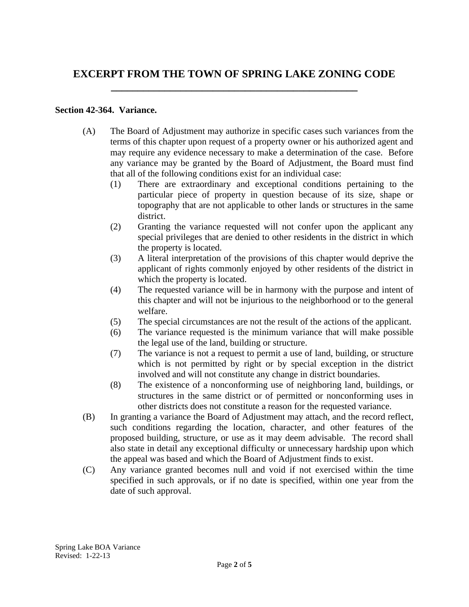# **EXCERPT FROM THE TOWN OF SPRING LAKE ZONING CODE \_\_\_\_\_\_\_\_\_\_\_\_\_\_\_\_\_\_\_\_\_\_\_\_\_\_\_\_\_\_\_\_\_\_\_\_\_\_\_\_\_\_\_\_\_\_**

### **Section 42-364. Variance.**

- (A) The Board of Adjustment may authorize in specific cases such variances from the terms of this chapter upon request of a property owner or his authorized agent and may require any evidence necessary to make a determination of the case. Before any variance may be granted by the Board of Adjustment, the Board must find that all of the following conditions exist for an individual case:
	- (1) There are extraordinary and exceptional conditions pertaining to the particular piece of property in question because of its size, shape or topography that are not applicable to other lands or structures in the same district.
	- (2) Granting the variance requested will not confer upon the applicant any special privileges that are denied to other residents in the district in which the property is located.
	- (3) A literal interpretation of the provisions of this chapter would deprive the applicant of rights commonly enjoyed by other residents of the district in which the property is located.
	- (4) The requested variance will be in harmony with the purpose and intent of this chapter and will not be injurious to the neighborhood or to the general welfare.
	- (5) The special circumstances are not the result of the actions of the applicant.
	- (6) The variance requested is the minimum variance that will make possible the legal use of the land, building or structure.
	- (7) The variance is not a request to permit a use of land, building, or structure which is not permitted by right or by special exception in the district involved and will not constitute any change in district boundaries.
	- (8) The existence of a nonconforming use of neighboring land, buildings, or structures in the same district or of permitted or nonconforming uses in other districts does not constitute a reason for the requested variance.
- (B) In granting a variance the Board of Adjustment may attach, and the record reflect, such conditions regarding the location, character, and other features of the proposed building, structure, or use as it may deem advisable. The record shall also state in detail any exceptional difficulty or unnecessary hardship upon which the appeal was based and which the Board of Adjustment finds to exist.
- (C) Any variance granted becomes null and void if not exercised within the time specified in such approvals, or if no date is specified, within one year from the date of such approval.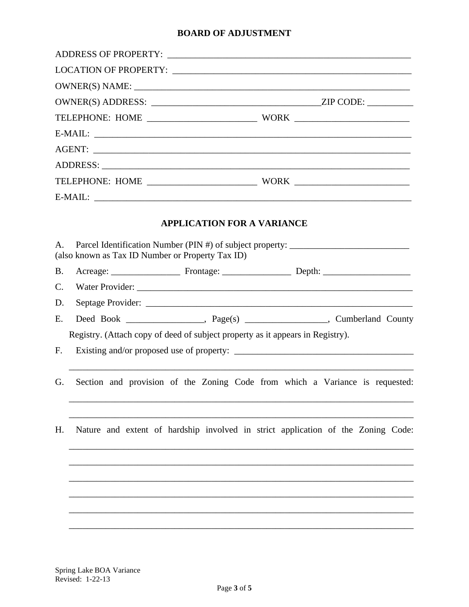### **BOARD OF ADJUSTMENT**

|                |                                                                                  |  |                                   |  |  | $E-MAIL:$                                                                        |  |  |
|----------------|----------------------------------------------------------------------------------|--|-----------------------------------|--|--|----------------------------------------------------------------------------------|--|--|
|                |                                                                                  |  | <b>APPLICATION FOR A VARIANCE</b> |  |  |                                                                                  |  |  |
| $A_{\cdot}$    | (also known as Tax ID Number or Property Tax ID)                                 |  |                                   |  |  | Parcel Identification Number (PIN #) of subject property: ______________________ |  |  |
| <b>B.</b>      |                                                                                  |  |                                   |  |  |                                                                                  |  |  |
| C.             |                                                                                  |  |                                   |  |  |                                                                                  |  |  |
| D.             |                                                                                  |  |                                   |  |  |                                                                                  |  |  |
| Ε.             |                                                                                  |  |                                   |  |  | Deed Book _________________, Page(s) ________________, Cumberland County         |  |  |
|                |                                                                                  |  |                                   |  |  | Registry. (Attach copy of deed of subject property as it appears in Registry).   |  |  |
| F <sub>r</sub> |                                                                                  |  |                                   |  |  |                                                                                  |  |  |
| G.             |                                                                                  |  |                                   |  |  | Section and provision of the Zoning Code from which a Variance is requested:     |  |  |
| Н.             | Nature and extent of hardship involved in strict application of the Zoning Code: |  |                                   |  |  |                                                                                  |  |  |
|                |                                                                                  |  |                                   |  |  |                                                                                  |  |  |
|                |                                                                                  |  |                                   |  |  |                                                                                  |  |  |
|                |                                                                                  |  |                                   |  |  |                                                                                  |  |  |
|                |                                                                                  |  |                                   |  |  |                                                                                  |  |  |
|                |                                                                                  |  |                                   |  |  |                                                                                  |  |  |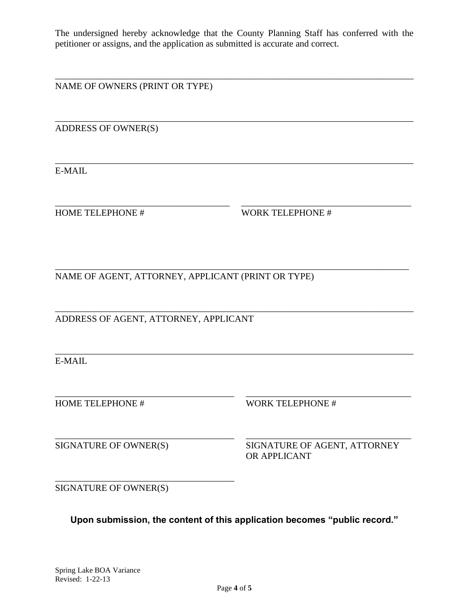The undersigned hereby acknowledge that the County Planning Staff has conferred with the petitioner or assigns, and the application as submitted is accurate and correct.

\_\_\_\_\_\_\_\_\_\_\_\_\_\_\_\_\_\_\_\_\_\_\_\_\_\_\_\_\_\_\_\_\_\_\_\_\_\_\_\_\_\_\_\_\_\_\_\_\_\_\_\_\_\_\_\_\_\_\_\_\_\_\_\_\_\_\_\_\_\_\_\_\_\_\_\_\_\_

\_\_\_\_\_\_\_\_\_\_\_\_\_\_\_\_\_\_\_\_\_\_\_\_\_\_\_\_\_\_\_\_\_\_\_\_\_\_\_\_\_\_\_\_\_\_\_\_\_\_\_\_\_\_\_\_\_\_\_\_\_\_\_\_\_\_\_\_\_\_\_\_\_\_\_\_\_\_

\_\_\_\_\_\_\_\_\_\_\_\_\_\_\_\_\_\_\_\_\_\_\_\_\_\_\_\_\_\_\_\_\_\_\_\_\_\_\_\_\_\_\_\_\_\_\_\_\_\_\_\_\_\_\_\_\_\_\_\_\_\_\_\_\_\_\_\_\_\_\_\_\_\_\_\_\_\_

\_\_\_\_\_\_\_\_\_\_\_\_\_\_\_\_\_\_\_\_\_\_\_\_\_\_\_\_\_\_\_\_\_\_\_\_\_\_ \_\_\_\_\_\_\_\_\_\_\_\_\_\_\_\_\_\_\_\_\_\_\_\_\_\_\_\_\_\_\_\_\_\_\_\_\_

\_\_\_\_\_\_\_\_\_\_\_\_\_\_\_\_\_\_\_\_\_\_\_\_\_\_\_\_\_\_\_\_\_\_\_\_\_\_\_\_\_\_\_\_\_\_\_\_\_\_\_\_\_\_\_\_\_\_\_\_\_\_\_\_\_\_\_\_\_\_\_\_\_\_\_\_\_\_

\_\_\_\_\_\_\_\_\_\_\_\_\_\_\_\_\_\_\_\_\_\_\_\_\_\_\_\_\_\_\_\_\_\_\_\_\_\_\_\_\_\_\_\_\_\_\_\_\_\_\_\_\_\_\_\_\_\_\_\_\_\_\_\_\_\_\_\_\_\_\_\_\_\_\_\_\_\_

\_\_\_\_\_\_\_\_\_\_\_\_\_\_\_\_\_\_\_\_\_\_\_\_\_\_\_\_\_\_\_\_\_\_\_\_\_\_\_ \_\_\_\_\_\_\_\_\_\_\_\_\_\_\_\_\_\_\_\_\_\_\_\_\_\_\_\_\_\_\_\_\_\_\_\_

NAME OF OWNERS (PRINT OR TYPE)

ADDRESS OF OWNER(S)

E-MAIL

HOME TELEPHONE # WORK TELEPHONE #

\_\_\_\_\_\_\_\_\_\_\_\_\_\_\_\_\_\_\_\_\_\_\_\_\_\_\_\_\_\_\_\_\_\_\_\_\_\_\_\_\_\_\_\_\_\_\_\_\_\_\_\_\_\_\_\_\_\_\_\_\_\_\_\_\_\_\_\_\_\_\_\_\_\_\_\_\_ NAME OF AGENT, ATTORNEY, APPLICANT (PRINT OR TYPE)

ADDRESS OF AGENT, ATTORNEY, APPLICANT

E-MAIL

HOME TELEPHONE # WORK TELEPHONE #

\_\_\_\_\_\_\_\_\_\_\_\_\_\_\_\_\_\_\_\_\_\_\_\_\_\_\_\_\_\_\_\_\_\_\_\_\_\_\_ \_\_\_\_\_\_\_\_\_\_\_\_\_\_\_\_\_\_\_\_\_\_\_\_\_\_\_\_\_\_\_\_\_\_\_\_ SIGNATURE OF OWNER(S) SIGNATURE OF AGENT, ATTORNEY OR APPLICANT

SIGNATURE OF OWNER(S)

\_\_\_\_\_\_\_\_\_\_\_\_\_\_\_\_\_\_\_\_\_\_\_\_\_\_\_\_\_\_\_\_\_\_\_\_\_\_\_

**Upon submission, the content of this application becomes "public record."**